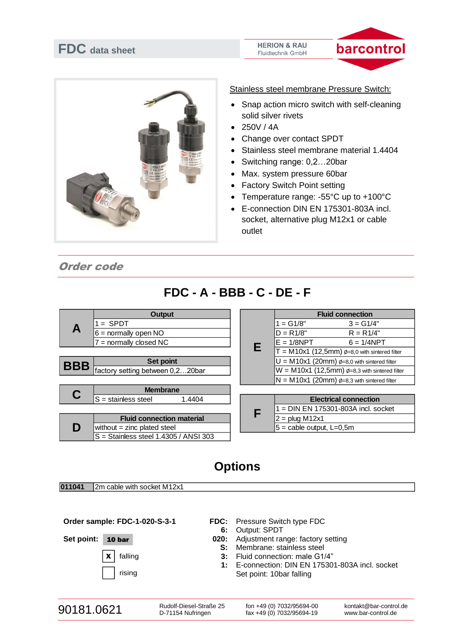



Stainless steel membrane Pressure Switch:

- Snap action micro switch with self-cleaning solid silver rivets
- $250V / 4A$
- Change over contact SPDT
- Stainless steel membrane material 1.4404
- Switching range: 0,2…20bar
- Max. system pressure 60bar
- **Factory Switch Point setting**
- Temperature range: -55°C up to +100°C
- E-connection DIN EN 175301-803A incl. socket, alternative plug M12x1 or cable outlet

#### Order code

| A          | <b>Output</b>                           |  |               | <b>Fluid connection</b>                             |                                                       |
|------------|-----------------------------------------|--|---------------|-----------------------------------------------------|-------------------------------------------------------|
|            | $=$ SPDT                                |  |               | $= G1/8"$                                           | $3 = G1/4"$                                           |
|            | $6 =$ normally open NO                  |  | $D = R1/8"$   | $R = R1/4"$                                         |                                                       |
|            | $7 =$ normally closed NC                |  | $E = 1/8$ NPT | $6 = 1/4$ NPT                                       |                                                       |
|            |                                         |  | Е             |                                                     | $T = M10x1$ (12,5mm) $\phi$ =8,0 with sintered filter |
| <b>BBB</b> | <b>Set point</b>                        |  |               | $U = M10x1$ (20mm) $\phi$ =8,0 with sintered filter |                                                       |
|            | factory setting between 0,220bar        |  |               |                                                     | $W = M10x1$ (12,5mm) $\phi$ =8,3 with sintered filter |
|            |                                         |  |               |                                                     | $N = M10x1$ (20mm) $\phi = 8.3$ with sintered filter  |
|            | <b>Membrane</b>                         |  |               |                                                     |                                                       |
|            | $S =$ stainless steel<br>1.4404         |  |               |                                                     | <b>Electrical connection</b>                          |
|            |                                         |  | F             |                                                     | $=$ DIN EN 175301-803A incl. socket                   |
|            | <b>Fluid connection material</b>        |  |               | $2 = plug M12x1$                                    |                                                       |
| D          | without $=$ zinc plated steel           |  |               | $5 =$ cable output, L=0,5m                          |                                                       |
|            | $S =$ Stainless steel 1.4305 / ANSI 303 |  |               |                                                     |                                                       |

# **Options**

**011041** 2m cable with socket M12x1

**Order sample: FDC-1-020-S-3-1**

Set point: **10 bar** 

### $\mathbf{x}$  | falling rising

- **FDC:** Pressure Switch type FDC
	- **6:** Output: SPDT
- **020:** Adjustment range: factory setting
	- **S:** Membrane: stainless steel
	- **3:** Fluid connection: male G1/4"
	- **1:** E-connection: DIN EN 175301-803A incl. socket Set point: 10bar falling

Rudolf-Diesel-Straße 25 D-71154 Nufringen

fon +49 (0) 7032/95694-00 fax +49 (0) 7032/95694-19

## **FDC - A - BBB - C - DE - F**